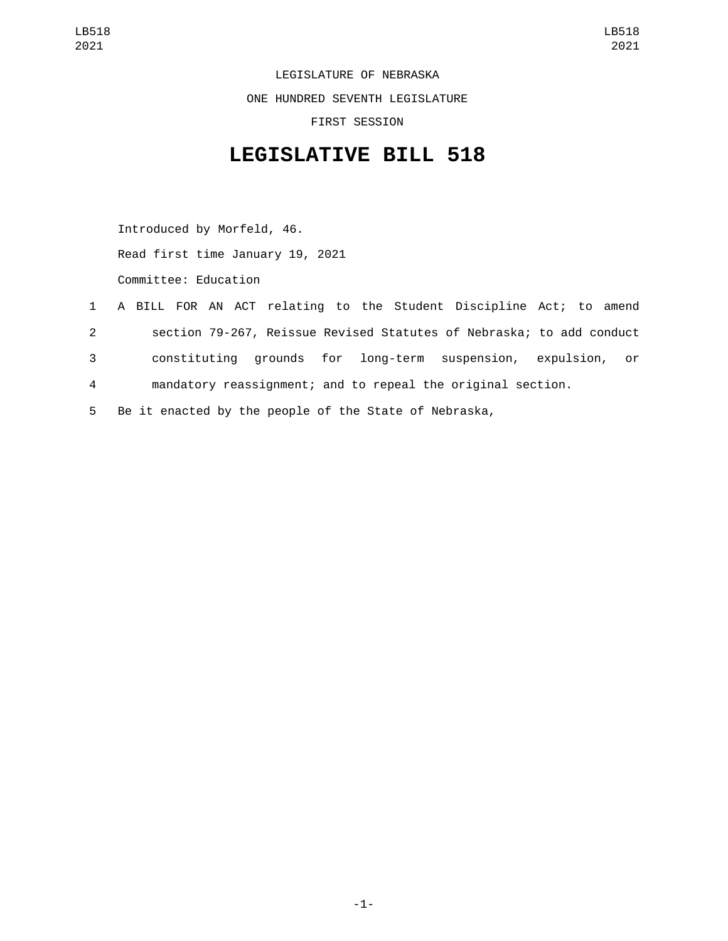LEGISLATURE OF NEBRASKA ONE HUNDRED SEVENTH LEGISLATURE FIRST SESSION

## **LEGISLATIVE BILL 518**

Introduced by Morfeld, 46. Read first time January 19, 2021 Committee: Education

- 1 A BILL FOR AN ACT relating to the Student Discipline Act; to amend 2 section 79-267, Reissue Revised Statutes of Nebraska; to add conduct 3 constituting grounds for long-term suspension, expulsion, or 4 mandatory reassignment; and to repeal the original section.
- 5 Be it enacted by the people of the State of Nebraska,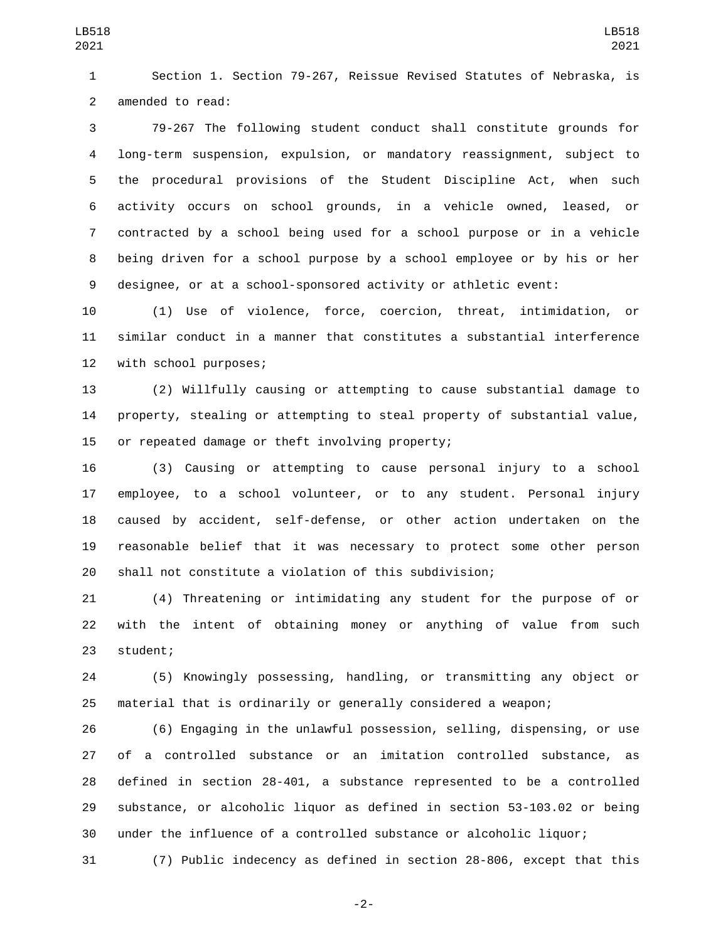Section 1. Section 79-267, Reissue Revised Statutes of Nebraska, is 2 amended to read:

 79-267 The following student conduct shall constitute grounds for long-term suspension, expulsion, or mandatory reassignment, subject to the procedural provisions of the Student Discipline Act, when such activity occurs on school grounds, in a vehicle owned, leased, or contracted by a school being used for a school purpose or in a vehicle being driven for a school purpose by a school employee or by his or her designee, or at a school-sponsored activity or athletic event:

 (1) Use of violence, force, coercion, threat, intimidation, or similar conduct in a manner that constitutes a substantial interference 12 with school purposes;

 (2) Willfully causing or attempting to cause substantial damage to property, stealing or attempting to steal property of substantial value, 15 or repeated damage or theft involving property;

 (3) Causing or attempting to cause personal injury to a school employee, to a school volunteer, or to any student. Personal injury caused by accident, self-defense, or other action undertaken on the reasonable belief that it was necessary to protect some other person shall not constitute a violation of this subdivision;

 (4) Threatening or intimidating any student for the purpose of or with the intent of obtaining money or anything of value from such 23 student;

 (5) Knowingly possessing, handling, or transmitting any object or material that is ordinarily or generally considered a weapon;

 (6) Engaging in the unlawful possession, selling, dispensing, or use of a controlled substance or an imitation controlled substance, as defined in section 28-401, a substance represented to be a controlled substance, or alcoholic liquor as defined in section 53-103.02 or being under the influence of a controlled substance or alcoholic liquor;

(7) Public indecency as defined in section 28-806, except that this

-2-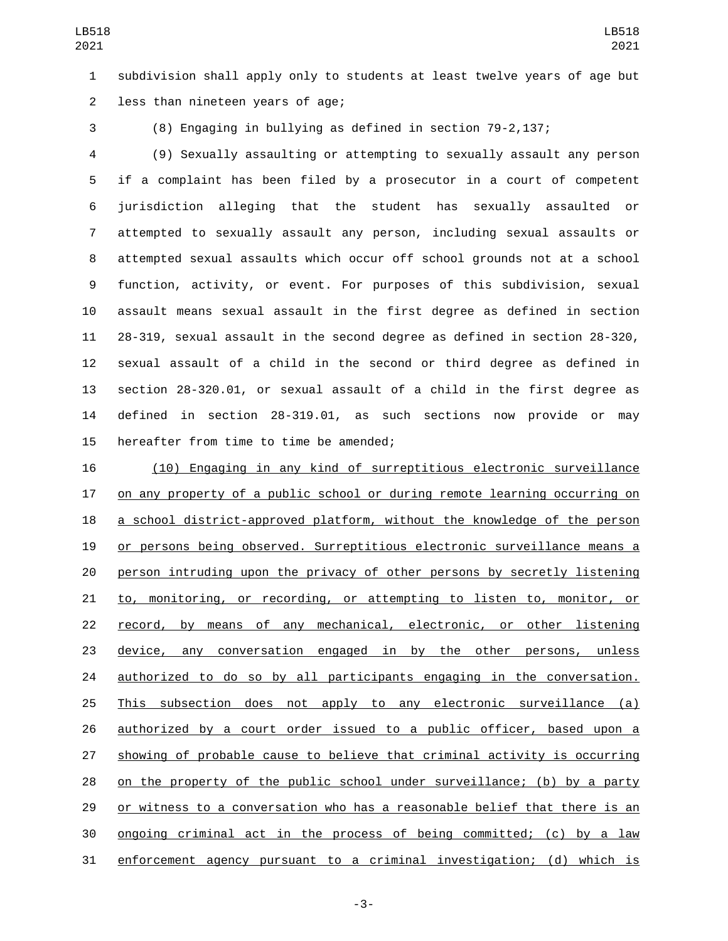subdivision shall apply only to students at least twelve years of age but 2 less than nineteen years of age;

(8) Engaging in bullying as defined in section 79-2,137;

 (9) Sexually assaulting or attempting to sexually assault any person if a complaint has been filed by a prosecutor in a court of competent jurisdiction alleging that the student has sexually assaulted or attempted to sexually assault any person, including sexual assaults or attempted sexual assaults which occur off school grounds not at a school function, activity, or event. For purposes of this subdivision, sexual assault means sexual assault in the first degree as defined in section 28-319, sexual assault in the second degree as defined in section 28-320, sexual assault of a child in the second or third degree as defined in section 28-320.01, or sexual assault of a child in the first degree as defined in section 28-319.01, as such sections now provide or may 15 hereafter from time to time be amended;

 (10) Engaging in any kind of surreptitious electronic surveillance on any property of a public school or during remote learning occurring on 18 a school district-approved platform, without the knowledge of the person or persons being observed. Surreptitious electronic surveillance means a person intruding upon the privacy of other persons by secretly listening to, monitoring, or recording, or attempting to listen to, monitor, or record, by means of any mechanical, electronic, or other listening device, any conversation engaged in by the other persons, unless authorized to do so by all participants engaging in the conversation. This subsection does not apply to any electronic surveillance (a) authorized by a court order issued to a public officer, based upon a showing of probable cause to believe that criminal activity is occurring on the property of the public school under surveillance; (b) by a party or witness to a conversation who has a reasonable belief that there is an ongoing criminal act in the process of being committed; (c) by a law enforcement agency pursuant to a criminal investigation; (d) which is